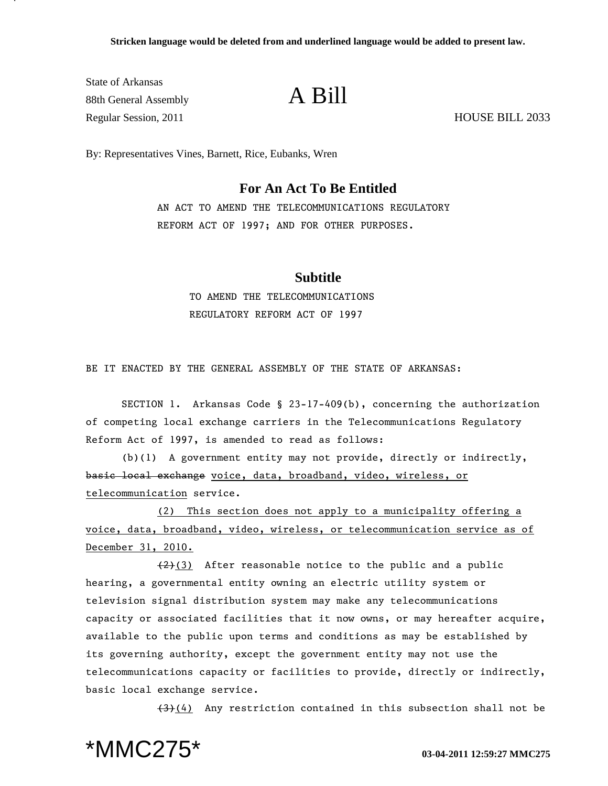State of Arkansas 88th General Assembly **A Bill** Regular Session, 2011 **HOUSE BILL 2033** 

By: Representatives Vines, Barnett, Rice, Eubanks, Wren

## **For An Act To Be Entitled**

AN ACT TO AMEND THE TELECOMMUNICATIONS REGULATORY REFORM ACT OF 1997; AND FOR OTHER PURPOSES.

## **Subtitle**

TO AMEND THE TELECOMMUNICATIONS REGULATORY REFORM ACT OF 1997

BE IT ENACTED BY THE GENERAL ASSEMBLY OF THE STATE OF ARKANSAS:

SECTION 1. Arkansas Code § 23-17-409(b), concerning the authorization of competing local exchange carriers in the Telecommunications Regulatory Reform Act of 1997, is amended to read as follows:

(b)(1) A government entity may not provide, directly or indirectly, basic local exchange voice, data, broadband, video, wireless, or telecommunication service.

(2) This section does not apply to a municipality offering a voice, data, broadband, video, wireless, or telecommunication service as of December 31, 2010.

 $(2)(3)$  After reasonable notice to the public and a public hearing, a governmental entity owning an electric utility system or television signal distribution system may make any telecommunications capacity or associated facilities that it now owns, or may hereafter acquire, available to the public upon terms and conditions as may be established by its governing authority, except the government entity may not use the telecommunications capacity or facilities to provide, directly or indirectly, basic local exchange service.

 $(3)$ (4) Any restriction contained in this subsection shall not be